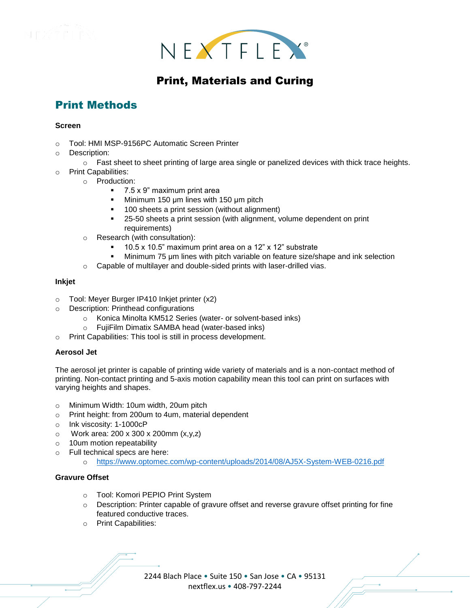



## Print, Materials and Curing

# Print Methods

#### **Screen**

- o Tool: HMI MSP-9156PC Automatic Screen Printer
- o Description:
- $\circ$  Fast sheet to sheet printing of large area single or panelized devices with thick trace heights.
- o Print Capabilities:
	- o Production:
		- 7.5 x 9" maximum print area
		- Minimum 150 μm lines with 150 μm pitch
		- 100 sheets a print session (without alignment)
		- 25-50 sheets a print session (with alignment, volume dependent on print requirements)
	- o Research (with consultation):
		- 10.5 x 10.5" maximum print area on a 12" x 12" substrate
		- Minimum 75 μm lines with pitch variable on feature size/shape and ink selection
	- o Capable of multilayer and double-sided prints with laser-drilled vias.

#### **Inkjet**

- o Tool: Meyer Burger IP410 Inkjet printer (x2)
- o Description: Printhead configurations
	- o Konica Minolta KM512 Series (water- or solvent-based inks)
	- o FujiFilm Dimatix SAMBA head (water-based inks)
- o Print Capabilities: This tool is still in process development.

#### **Aerosol Jet**

The aerosol jet printer is capable of printing wide variety of materials and is a non-contact method of printing. Non-contact printing and 5-axis motion capability mean this tool can print on surfaces with varying heights and shapes.

- o Minimum Width: 10um width, 20um pitch
- o Print height: from 200um to 4um, material dependent
- o Ink viscosity: 1-1000cP
- o Work area: 200 x 300 x 200mm (x,y,z)
- o 10um motion repeatability
- o Full technical specs are here:
	- o <https://www.optomec.com/wp-content/uploads/2014/08/AJ5X-System-WEB-0216.pdf>

#### **Gravure Offset**

- o Tool: Komori PEPIO Print System
- $\circ$  Description: Printer capable of gravure offset and reverse gravure offset printing for fine featured conductive traces.
- o Print Capabilities:

2244 Blach Place • Suite 150 • San Jose • CA • 95131 nextflex.us • 408-797-2244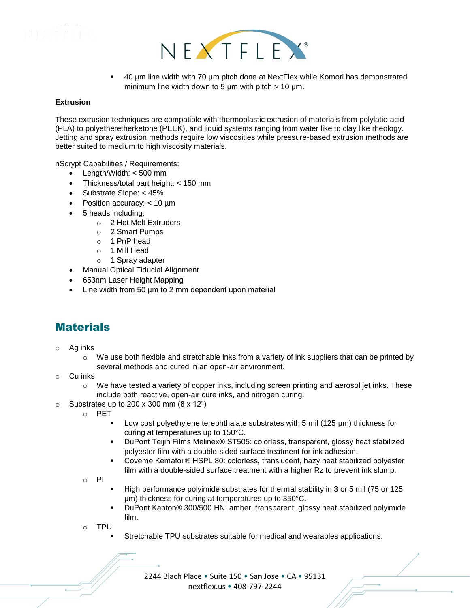



▪ 40 μm line width with 70 μm pitch done at NextFlex while Komori has demonstrated minimum line width down to 5  $\mu$ m with pitch > 10  $\mu$ m.

#### **Extrusion**

These extrusion techniques are compatible with thermoplastic extrusion of materials from polylatic-acid (PLA) to polyetheretherketone (PEEK), and liquid systems ranging from water like to clay like rheology. Jetting and spray extrusion methods require low viscosities while pressure-based extrusion methods are better suited to medium to high viscosity materials.

nScrypt Capabilities / Requirements:

- Length/Width: < 500 mm
- Thickness/total part height: < 150 mm
- Substrate Slope: < 45%
- Position accuracy: < 10 µm
- 5 heads including:
	- o 2 Hot Melt Extruders
	- o 2 Smart Pumps
	- o 1 PnP head
	- o 1 Mill Head
	- o 1 Spray adapter
- Manual Optical Fiducial Alignment
- 653nm Laser Height Mapping
- Line width from 50 µm to 2 mm dependent upon material

### **Materials**

- o Ag inks
	- o We use both flexible and stretchable inks from a variety of ink suppliers that can be printed by several methods and cured in an open-air environment.
- Cu inks
	- $\circ$  We have tested a variety of copper inks, including screen printing and aerosol jet inks. These include both reactive, open-air cure inks, and nitrogen curing.
- $\circ$  Substrates up to 200 x 300 mm (8 x 12")
	- o PET
		- Low cost polyethylene terephthalate substrates with 5 mil (125 μm) thickness for curing at temperatures up to 150°C.
		- DuPont Teijin Films Melinex® ST505: colorless, transparent, glossy heat stabilized polyester film with a double-sided surface treatment for ink adhesion.
		- Coveme Kemafoil® HSPL 80: colorless, translucent, hazy heat stabilized polyester film with a double-sided surface treatment with a higher Rz to prevent ink slump.

o PI

- High performance polyimide substrates for thermal stability in 3 or 5 mil (75 or 125 μm) thickness for curing at temperatures up to 350°C.
- DuPont Kapton® 300/500 HN: amber, transparent, glossy heat stabilized polyimide film.
- **TPU** 
	- Stretchable TPU substrates suitable for medical and wearables applications.

2244 Blach Place • Suite 150 • San Jose • CA • 95131 nextflex.us • 408-797-2244